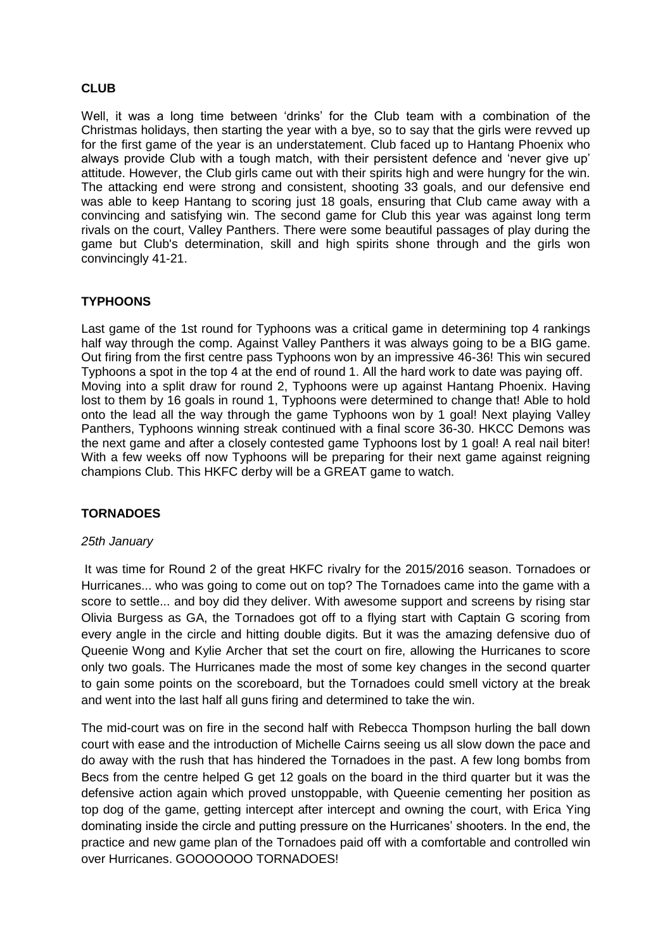# **CLUB**

Well, it was a long time between 'drinks' for the Club team with a combination of the Christmas holidays, then starting the year with a bye, so to say that the girls were revved up for the first game of the year is an understatement. Club faced up to Hantang Phoenix who always provide Club with a tough match, with their persistent defence and 'never give up' attitude. However, the Club girls came out with their spirits high and were hungry for the win. The attacking end were strong and consistent, shooting 33 goals, and our defensive end was able to keep Hantang to scoring just 18 goals, ensuring that Club came away with a convincing and satisfying win. The second game for Club this year was against long term rivals on the court, Valley Panthers. There were some beautiful passages of play during the game but Club's determination, skill and high spirits shone through and the girls won convincingly 41-21.

# **TYPHOONS**

Last game of the 1st round for Typhoons was a critical game in determining top 4 rankings half way through the comp. Against Valley Panthers it was always going to be a BIG game. Out firing from the first centre pass Typhoons won by an impressive 46-36! This win secured Typhoons a spot in the top 4 at the end of round 1. All the hard work to date was paying off. Moving into a split draw for round 2, Typhoons were up against Hantang Phoenix. Having lost to them by 16 goals in round 1, Typhoons were determined to change that! Able to hold onto the lead all the way through the game Typhoons won by 1 goal! Next playing Valley Panthers, Typhoons winning streak continued with a final score 36-30. HKCC Demons was the next game and after a closely contested game Typhoons lost by 1 goal! A real nail biter! With a few weeks off now Typhoons will be preparing for their next game against reigning champions Club. This HKFC derby will be a GREAT game to watch.

## **TORNADOES**

### *25th January*

It was time for Round 2 of the great HKFC rivalry for the 2015/2016 season. Tornadoes or Hurricanes... who was going to come out on top? The Tornadoes came into the game with a score to settle... and boy did they deliver. With awesome support and screens by rising star Olivia Burgess as GA, the Tornadoes got off to a flying start with Captain G scoring from every angle in the circle and hitting double digits. But it was the amazing defensive duo of Queenie Wong and Kylie Archer that set the court on fire, allowing the Hurricanes to score only two goals. The Hurricanes made the most of some key changes in the second quarter to gain some points on the scoreboard, but the Tornadoes could smell victory at the break and went into the last half all guns firing and determined to take the win.

The mid-court was on fire in the second half with Rebecca Thompson hurling the ball down court with ease and the introduction of Michelle Cairns seeing us all slow down the pace and do away with the rush that has hindered the Tornadoes in the past. A few long bombs from Becs from the centre helped G get 12 goals on the board in the third quarter but it was the defensive action again which proved unstoppable, with Queenie cementing her position as top dog of the game, getting intercept after intercept and owning the court, with Erica Ying dominating inside the circle and putting pressure on the Hurricanes' shooters. In the end, the practice and new game plan of the Tornadoes paid off with a comfortable and controlled win over Hurricanes. GOOOOOOO TORNADOES!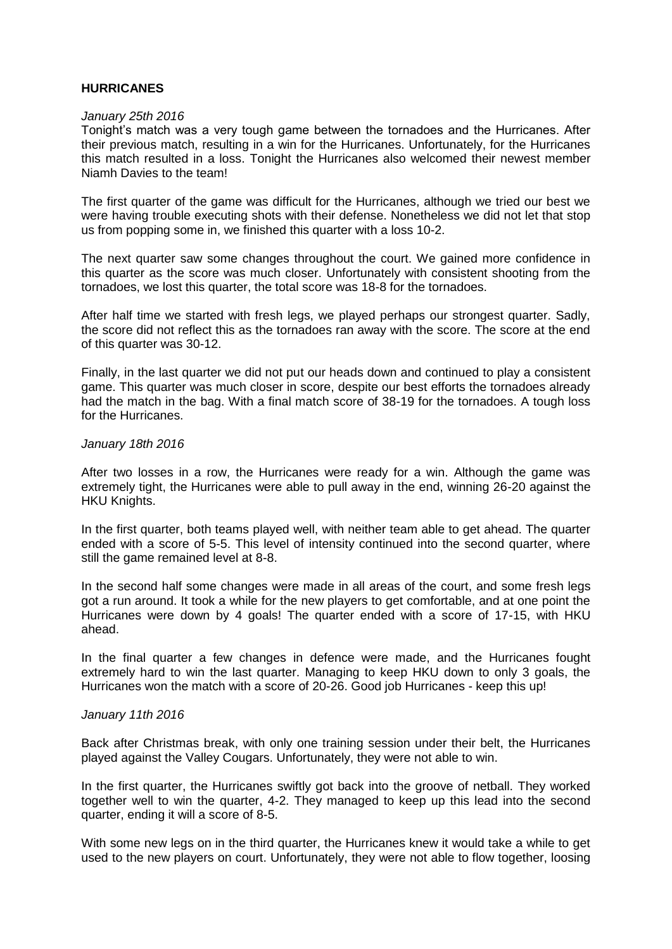## **HURRICANES**

#### *January 25th 2016*

Tonight's match was a very tough game between the tornadoes and the Hurricanes. After their previous match, resulting in a win for the Hurricanes. Unfortunately, for the Hurricanes this match resulted in a loss. Tonight the Hurricanes also welcomed their newest member Niamh Davies to the team!

The first quarter of the game was difficult for the Hurricanes, although we tried our best we were having trouble executing shots with their defense. Nonetheless we did not let that stop us from popping some in, we finished this quarter with a loss 10-2.

The next quarter saw some changes throughout the court. We gained more confidence in this quarter as the score was much closer. Unfortunately with consistent shooting from the tornadoes, we lost this quarter, the total score was 18-8 for the tornadoes.

After half time we started with fresh legs, we played perhaps our strongest quarter. Sadly, the score did not reflect this as the tornadoes ran away with the score. The score at the end of this quarter was 30-12.

Finally, in the last quarter we did not put our heads down and continued to play a consistent game. This quarter was much closer in score, despite our best efforts the tornadoes already had the match in the bag. With a final match score of 38-19 for the tornadoes. A tough loss for the Hurricanes.

#### *January 18th 2016*

After two losses in a row, the Hurricanes were ready for a win. Although the game was extremely tight, the Hurricanes were able to pull away in the end, winning 26-20 against the HKU Knights.

In the first quarter, both teams played well, with neither team able to get ahead. The quarter ended with a score of 5-5. This level of intensity continued into the second quarter, where still the game remained level at 8-8.

In the second half some changes were made in all areas of the court, and some fresh legs got a run around. It took a while for the new players to get comfortable, and at one point the Hurricanes were down by 4 goals! The quarter ended with a score of 17-15, with HKU ahead.

In the final quarter a few changes in defence were made, and the Hurricanes fought extremely hard to win the last quarter. Managing to keep HKU down to only 3 goals, the Hurricanes won the match with a score of 20-26. Good job Hurricanes - keep this up!

### *January 11th 2016*

Back after Christmas break, with only one training session under their belt, the Hurricanes played against the Valley Cougars. Unfortunately, they were not able to win.

In the first quarter, the Hurricanes swiftly got back into the groove of netball. They worked together well to win the quarter, 4-2. They managed to keep up this lead into the second quarter, ending it will a score of 8-5.

With some new legs on in the third quarter, the Hurricanes knew it would take a while to get used to the new players on court. Unfortunately, they were not able to flow together, loosing